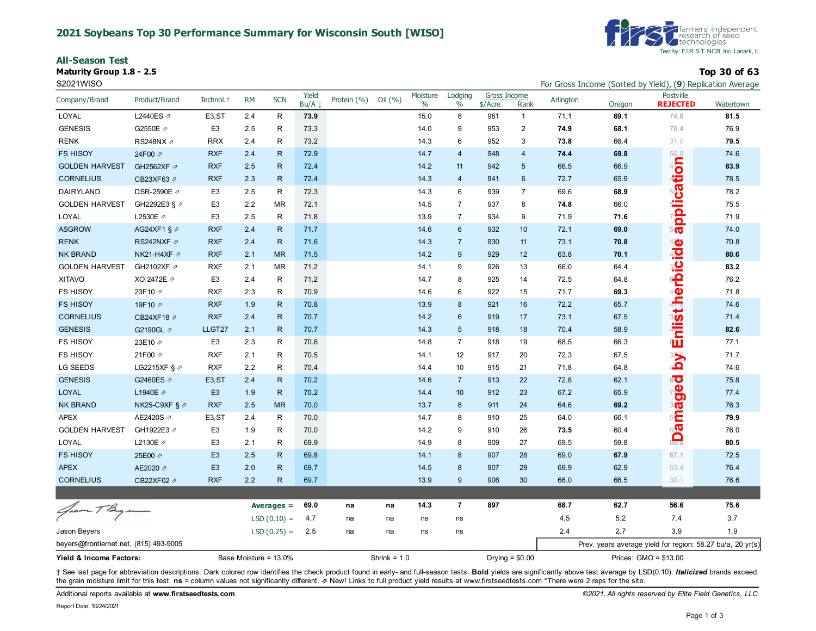#### **2021 Soybeans Top 30 Performance Summary for Wisconsin South [WISO]**

**All-Season Test**

**Maturity Group 1.8 - 2.5 Top 30 of 63**



S2021WISO **For Gross Income (Sorted by Yield), (9**) Replication Average **For Gross Income (Sorted by Yield), (9)** Replication Average

| Company/Brand                          | Product/Brand             | Technol. <sup>+</sup> | <b>RM</b>             | <b>SCN</b>    | Yield<br>Bu/A | Protein (%)    | Oil $(% )$ | Moisture<br>$\%$ | Lodging<br>$\%$ | Gross Income<br>\$/Acre | Rank           | Arlington | Oregon                | Postville<br><b>REJECTED</b>                               | Watertown |
|----------------------------------------|---------------------------|-----------------------|-----------------------|---------------|---------------|----------------|------------|------------------|-----------------|-------------------------|----------------|-----------|-----------------------|------------------------------------------------------------|-----------|
| LOYAL                                  | L2440ES 2                 | E <sub>3</sub> , ST   | 2.4                   | R             | 73.9          |                |            | 15.0             | 8               | 961                     | $\mathbf{1}$   | 71.1      | 69.1                  | 74.8                                                       | 81.5      |
| <b>GENESIS</b>                         | G2550E 2                  | E <sub>3</sub>        | 2.5                   | R             | 73.3          |                |            | 14.0             | 9               | 953                     | $\overline{2}$ | 74.9      | 68.1                  | 70.4                                                       | 76.9      |
| <b>RENK</b>                            | RS248NX 2                 | <b>RRX</b>            | 2.4                   | R             | 73.2          |                |            | 14.3             | 6               | 952                     | 3              | 73.8      | 66.4                  | 31.0                                                       | 79.5      |
| <b>FS HISOY</b>                        | 24F00 2                   | <b>RXF</b>            | 2.4                   | $\mathsf{R}$  | 72.9          |                |            | 14.7             | $\overline{4}$  | 948                     | $\overline{4}$ | 74.4      | 69.8                  |                                                            | 74.6      |
| <b>GOLDEN HARVEST</b>                  | GH2562XF 2                | <b>RXF</b>            | 2.5                   | R.            | 72.4          |                |            | 14.2             | 11              | 942                     | 5              | 66.5      | 66.9                  |                                                            | 83.9      |
| <b>CORNELIUS</b>                       | CB23XF63 2                | <b>RXF</b>            | 2.3                   | R.            | 72.4          |                |            | 14.3             | $\overline{4}$  | 941                     | 6              | 72.7      | 65.9                  | application                                                | 78.5      |
| DAIRYLAND                              | DSR-2590E 2               | E <sub>3</sub>        | 2.5                   | R             | 72.3          |                |            | 14.3             | 6               | 939                     | $\overline{7}$ | 69.6      | 68.9                  |                                                            | 78.2      |
| <b>GOLDEN HARVEST</b>                  | GH2292E3 § 2              | E3                    | 2.2                   | <b>MR</b>     | 72.1          |                |            | 14.5             | $\overline{7}$  | 937                     | 8              | 74.8      | 66.0                  |                                                            | 75.5      |
| <b>LOYAL</b>                           | L2530E /                  | E <sub>3</sub>        | 2.5                   | R             | 71.8          |                |            | 13.9             | $\overline{7}$  | 934                     | 9              | 71.9      | 71.6                  |                                                            | 71.9      |
| <b>ASGROW</b>                          | AG24XF1 § 2               | <b>RXF</b>            | 2.4                   | R.            | 71.7          |                |            | 14.6             | 6               | 932                     | 10             | 72.1      | 69.0                  |                                                            | 74.0      |
| <b>RENK</b>                            | RS242NXF 2                | <b>RXF</b>            | 2.4                   | $\mathsf{R}$  | 71.6          |                |            | 14.3             | $\overline{7}$  | 930                     | 11             | 73.1      | 70.8                  | 40                                                         | 70.8      |
| <b>NK BRAND</b>                        | NK21-H4XF Ø               | <b>RXF</b>            | 2.1                   | <b>MR</b>     | 71.5          |                |            | 14.2             | 9               | 929                     | 12             | 63.8      | 70.1                  |                                                            | 80.6      |
| <b>GOLDEN HARVEST</b>                  | GH2102XF 2                | <b>RXF</b>            | 2.1                   | <b>MR</b>     | 71.2          |                |            | 14.1             | 9               | 926                     | 13             | 66.0      | 64.4                  | آ <mark>چ</mark><br>پ                                      | 83.2      |
| <b>XITAVO</b>                          | XO 2472E 2                | E <sub>3</sub>        | 2.4                   | R             | 71.2          |                |            | 14.7             | 8               | 925                     | 14             | 72.5      | 64.8                  |                                                            | 76.2      |
| <b>FS HISOY</b>                        | 23F10 2                   | <b>RXF</b>            | 2.3                   | R             | 70.9          |                |            | 14.6             | 6               | 922                     | 15             | 71.7      | 69.3                  | ୍କ<br>⊕                                                    | 71.8      |
| <b>FS HISOY</b>                        | 19F10 2                   | <b>RXF</b>            | 1.9                   | R             | 70.8          |                |            | 13.9             | 8               | 921                     | 16             | 72.2      | 65.7                  |                                                            | 74.6      |
| <b>CORNELIUS</b>                       | CB24XF18 Ø                | <b>RXF</b>            | 2.4                   | R.            | 70.7          |                |            | 14.2             | 6               | 919                     | 17             | 73.1      | 67.5                  |                                                            | 71.4      |
| <b>GENESIS</b>                         | G2190GL 7                 | LLGT27                | 2.1                   | R.            | 70.7          |                |            | 14.3             | 5               | 918                     | 18             | 70.4      | 58.9                  | niisth                                                     | 82.6      |
| <b>FS HISOY</b>                        | 23E10 2                   | E <sub>3</sub>        | 2.3                   | R             | 70.6          |                |            | 14.8             | $\overline{7}$  | 918                     | 19             | 68.5      | 66.3                  | $\overline{\mathbf{u}}$                                    | 77.1      |
| <b>FS HISOY</b>                        | 21F00 2                   | <b>RXF</b>            | 2.1                   | R             | 70.5          |                |            | 14.1             | 12              | 917                     | 20             | 72.3      | 67.5                  | 329                                                        | 71.7      |
| <b>LG SEEDS</b>                        | LG2215XF § $\varnothing$  | <b>RXF</b>            | 2.2                   | R             | 70.4          |                |            | 14.4             | 10              | 915                     | 21             | 71.8      | 64.8                  | 40                                                         | 74.6      |
| <b>GENESIS</b>                         | G2460ES 2                 | E <sub>3</sub> , ST   | 2.4                   | $\mathsf{R}$  | 70.2          |                |            | 14.6             | $\overline{7}$  | 913                     | 22             | 72.8      | 62.1                  |                                                            | 75.8      |
| LOYAL                                  | L1940E 2                  | E <sub>3</sub>        | 1.9                   | $\mathsf{R}$  | 70.2          |                |            | 14.4             | 10              | 912                     | 23             | 67.2      | 65.9                  | geå                                                        | 77.4      |
| <b>NK BRAND</b>                        | NK25-C9XF § $\varnothing$ | <b>RXF</b>            | 2.5                   | <b>MR</b>     | 70.0          |                |            | 13.7             | 8               | 911                     | 24             | 64.6      | 69.2                  | $\frac{3}{10}$                                             | 76.3      |
| <b>APEX</b>                            | AE2420S 2                 | E <sub>3</sub> , ST   | 2.4                   | R             | 70.0          |                |            | 14.7             | 8               | 910                     | 25             | 64.0      | 66.1                  | ∍⊆                                                         | 79.9      |
| <b>GOLDEN HARVEST</b>                  | GH1922E3 2                | E <sub>3</sub>        | 1.9                   | R             | 70.0          |                |            | 14.2             | 9               | 910                     | 26             | 73.5      | 60.4                  | 600                                                        | 76.0      |
| LOYAL                                  | L2130E 2                  | E <sub>3</sub>        | 2.1                   | R             | 69.9          |                |            | 14.9             | 8               | 909                     | 27             | 69.5      | 59.8                  |                                                            | 80.5      |
| <b>FS HISOY</b>                        | 25E00 2                   | E <sub>3</sub>        | 2.5                   | $\mathsf{R}$  | 69.8          |                |            | 14.1             | 8               | 907                     | 28             | 69.0      | 67.9                  | 67.1                                                       | 72.5      |
| <b>APEX</b>                            | AE2020 2                  | E <sub>3</sub>        | 2.0                   | $\mathsf{R}$  | 69.7          |                |            | 14.5             | 8               | 907                     | 29             | 69.9      | 62.9                  | 63.4                                                       | 76.4      |
| <b>CORNELIUS</b>                       | CB22XF02 2                | <b>RXF</b>            | 2.2                   | $\mathsf{R}$  | 69.7          |                |            | 13.9             | 9               | 906                     | 30             | 66.0      | 66.5                  | 30.1                                                       | 76.6      |
|                                        |                           |                       |                       |               |               |                |            |                  |                 |                         |                |           |                       |                                                            |           |
| Joan TBy                               |                           |                       |                       | Averages $=$  | 69.0          | na             | na         | 14.3             | $\overline{7}$  | 897                     |                | 68.7      | 62.7                  | 56.6                                                       | 75.6      |
|                                        |                           |                       |                       | $LSD(0.10) =$ | 4.7           | na             | na         | ns               | ns              |                         |                | 4.5       | 5.2                   | 7.4                                                        | 3.7       |
| Jason Beyers                           |                           |                       |                       | $LSD(0.25) =$ | 2.5           | na             | na         | ns               | ns              |                         |                | 2.4       | 2.7                   | 3.9                                                        | 1.9       |
| beyers@frontiernet.net, (815) 493-9005 |                           |                       |                       |               |               |                |            |                  |                 |                         |                |           |                       | Prev. years average yield for region: 58.27 bu/a, 20 yr(s) |           |
| Yield & Income Factors:                |                           |                       | Base Moisture = 13.0% |               |               | Shrink = $1.0$ |            |                  |                 | Drying = $$0.00$        |                |           | Prices: GMO = \$13.00 |                                                            |           |

+ See last page for abbreviation descriptions. Dark colored row identifies the check product found in early- and full-season tests. Bold yields are significantly above test average by LSD(0.10). Italicized brands exceed the grain moisture limit for this test. ns = column values not significantly different. *A* New! Links to full product yield results at www.firstseedtests.com \*There were 2 reps for the site.

Additional reports available at **[www.firstseedtests.com](https://www.firstseedtests.com)** *©2021, All rights reserved by Elite Field Genetics, LLC*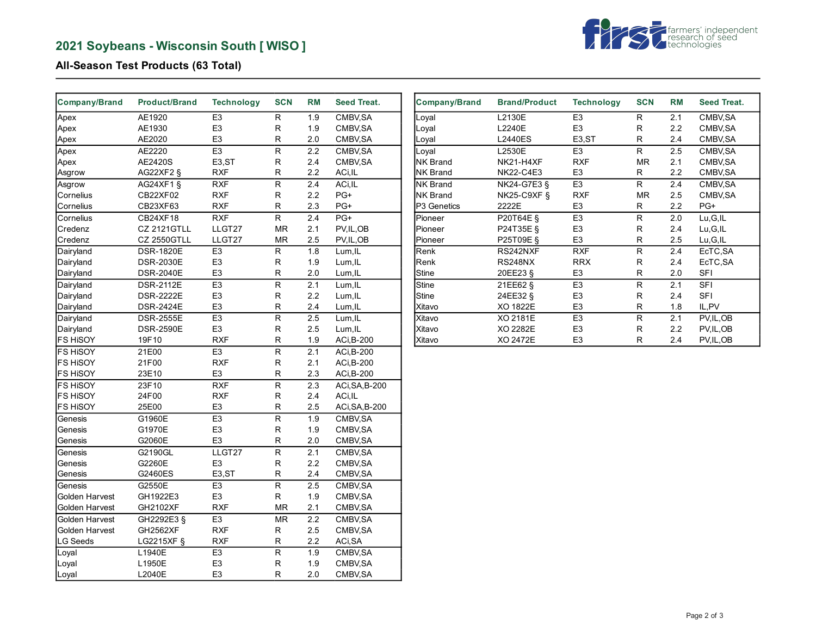# **2021 Soybeans - Wisconsin South [ WISO ]**



## **All-Season Test Products (63 Total)**

| Company/Brand   | <b>Product/Brand</b> | <b>Technology</b>  | <b>SCN</b>              | <b>RM</b>        | <b>Seed Treat.</b> |
|-----------------|----------------------|--------------------|-------------------------|------------------|--------------------|
| Apex            | AE1920               | E <sub>3</sub>     | R                       | 1.9              | CMBV, SA           |
| Apex            | AE1930               | E <sub>3</sub>     | R                       | 1.9              | CMBV, SA           |
| Apex            | AE2020               | E <sub>3</sub>     | R                       | 2.0              | CMBV, SA           |
| Apex            | AE2220               | E <sub>3</sub>     | $\overline{\mathsf{R}}$ | 2.2              | CMBV, SA           |
| Apex            | AE2420S              | E <sub>3</sub> ,ST | R                       | 2.4              | CMBV, SA           |
| Asgrow          | AG22XF2 §            | <b>RXF</b>         | R                       | 2.2              | ACi,IL             |
| Asgrow          | AG24XF1 §            | <b>RXF</b>         | R                       | 2.4              | ACi.IL             |
| Cornelius       | CB22XF02             | <b>RXF</b>         | R                       | 2.2              | PG+                |
| Cornelius       | CB23XF63             | <b>RXF</b>         | R                       | 2.3              | PG+                |
| Cornelius       | CB24XF18             | <b>RXF</b>         | $\overline{\mathsf{R}}$ | 2.4              | PG+                |
| Credenz         | <b>CZ 2121GTLL</b>   | LLGT27             | <b>MR</b>               | 2.1              | PV, IL, OB         |
| Credenz         | <b>CZ 2550GTLL</b>   | LLGT27             | <b>MR</b>               | 2.5              | PV, IL, OB         |
| Dairyland       | <b>DSR-1820E</b>     | E <sub>3</sub>     | R                       | $\overline{1.8}$ | Lum, IL            |
| Dairyland       | <b>DSR-2030E</b>     | E <sub>3</sub>     | R                       | 1.9              | Lum, IL            |
| Dairyland       | <b>DSR-2040E</b>     | E <sub>3</sub>     | R                       | 2.0              | Lum, IL            |
| Dairyland       | <b>DSR-2112E</b>     | E <sub>3</sub>     | R                       | 2.1              | Lum, IL            |
| Dairyland       | <b>DSR-2222E</b>     | E <sub>3</sub>     | R                       | 2.2              | Lum, IL            |
| Dairyland       | <b>DSR-2424E</b>     | E <sub>3</sub>     | R                       | 2.4              | Lum, IL            |
| Dairyland       | <b>DSR-2555E</b>     | E <sub>3</sub>     | R                       | 2.5              | Lum, IL            |
| Dairyland       | <b>DSR-2590E</b>     | E <sub>3</sub>     | R                       | 2.5              | Lum, IL            |
| <b>FS HISOY</b> | 19F10                | <b>RXF</b>         | R                       | 1.9              | ACi, B-200         |
| <b>FS HISOY</b> | 21E00                | E <sub>3</sub>     | R                       | 2.1              | ACi, B-200         |
| <b>FS HISOY</b> | 21F00                | <b>RXF</b>         | R                       | 2.1              | ACi, B-200         |
| <b>FS HiSOY</b> | 23E10                | E <sub>3</sub>     | R                       | 2.3              | ACi, B-200         |
| <b>FS HISOY</b> | 23F10                | <b>RXF</b>         | R                       | 2.3              | ACi, SA, B-200     |
| <b>FS HISOY</b> | 24F00                | <b>RXF</b>         | R                       | 2.4              | ACi, IL            |
| <b>FS HISOY</b> | 25E00                | E <sub>3</sub>     | R                       | 2.5              | ACi, SA, B-200     |
| Genesis         | G1960E               | E3                 | $\overline{\mathsf{R}}$ | 1.9              | CMBV, SA           |
| Genesis         | G1970E               | E <sub>3</sub>     | R                       | 1.9              | CMBV, SA           |
| Genesis         | G2060E               | E <sub>3</sub>     | R                       | 2.0              | CMBV, SA           |
| Genesis         | G2190GL              | LLGT27             | R                       | $\overline{2.1}$ | CMBV, SA           |
| Genesis         | G2260E               | E <sub>3</sub>     | R                       | 2.2              | CMBV, SA           |
| Genesis         | G2460ES              | E3,ST              | R                       | 2.4              | CMBV, SA           |
| Genesis         | G2550E               | E <sub>3</sub>     | R                       | 2.5              | CMBV, SA           |
| Golden Harvest  | GH1922E3             | E <sub>3</sub>     | R                       | 1.9              | CMBV, SA           |
| Golden Harvest  | GH2102XF             | <b>RXF</b>         | <b>MR</b>               | 2.1              | CMBV, SA           |
| Golden Harvest  | GH2292E3 §           | E <sub>3</sub>     | <b>MR</b>               | 2.2              | CMBV, SA           |
| Golden Harvest  | <b>GH2562XF</b>      | <b>RXF</b>         | R                       | 2.5              | CMBV, SA           |
| LG Seeds        | LG2215XF §           | <b>RXF</b>         | R                       | 2.2              | ACi, SA            |
| Loyal           | L1940E               | E <sub>3</sub>     | R                       | 1.9              | CMBV, SA           |
| Loyal           | L1950E               | E <sub>3</sub>     | R                       | 1.9              | CMBV, SA           |
| Loyal           | L2040E               | E <sub>3</sub>     | R                       | 2.0              | CMBV, SA           |

| <b>Company/Brand</b>    | <b>Brand/Product</b> | <b>Technology</b>   | <b>SCN</b> | <b>RM</b> | <b>Seed Treat.</b> |
|-------------------------|----------------------|---------------------|------------|-----------|--------------------|
| Loyal                   | L2130E               | E <sub>3</sub>      | R          | 2.1       | CMBV, SA           |
| Loyal                   | L2240E               | E <sub>3</sub>      | R          | 2.2       | CMBV, SA           |
| Loyal                   | <b>L2440ES</b>       | E <sub>3</sub> , ST | R          | 2.4       | CMBV, SA           |
| Loyal                   | L2530E               | E <sub>3</sub>      | R          | 2.5       | CMBV, SA           |
| <b>NK Brand</b>         | NK21-H4XF            | <b>RXF</b>          | <b>MR</b>  | 2.1       | CMBV, SA           |
| <b>NK Brand</b>         | <b>NK22-C4E3</b>     | E <sub>3</sub>      | R          | 2.2       | CMBV, SA           |
| <b>INK Brand</b>        | <b>NK24-G7E3 §</b>   | E <sub>3</sub>      | R          | 2.4       | CMBV, SA           |
| <b>NK Brand</b>         | <b>NK25-C9XF §</b>   | <b>RXF</b>          | <b>MR</b>  | 2.5       | CMBV, SA           |
| P <sub>3</sub> Genetics | 2222E                | E <sub>3</sub>      | R          | 2.2       | PG+                |
| Pioneer                 | P20T64E §            | E <sub>3</sub>      | R          | 2.0       | Lu, G, IL          |
| <b>Pioneer</b>          | P24T35E §            | E <sub>3</sub>      | R          | 2.4       | Lu, G, IL          |
| Pioneer                 | P25T09E §            | E3                  | R          | 2.5       | Lu, G, IL          |
| Renk                    | RS242NXF             | <b>RXF</b>          | R          | 2.4       | EcTC, SA           |
| Renk                    | <b>RS248NX</b>       | <b>RRX</b>          | R          | 2.4       | EcTC, SA           |
| Stine                   | 20EE23 §             | E <sub>3</sub>      | R          | 2.0       | <b>SFI</b>         |
| <b>Stine</b>            | 21EE62 §             | E <sub>3</sub>      | R          | 2.1       | <b>SFI</b>         |
| Stine                   | 24EE32 §             | E <sub>3</sub>      | R          | 2.4       | <b>SFI</b>         |
| Xitavo                  | XO 1822E             | E <sub>3</sub>      | R          | 1.8       | IL, PV             |
| Xitavo                  | XO 2181E             | E <sub>3</sub>      | R          | 2.1       | PV, IL, OB         |
| Xitavo                  | XO 2282E             | E <sub>3</sub>      | R          | 2.2       | PV, IL, OB         |
| Xitavo                  | XO 2472E             | E <sub>3</sub>      | R          | 2.4       | PV, IL, OB         |